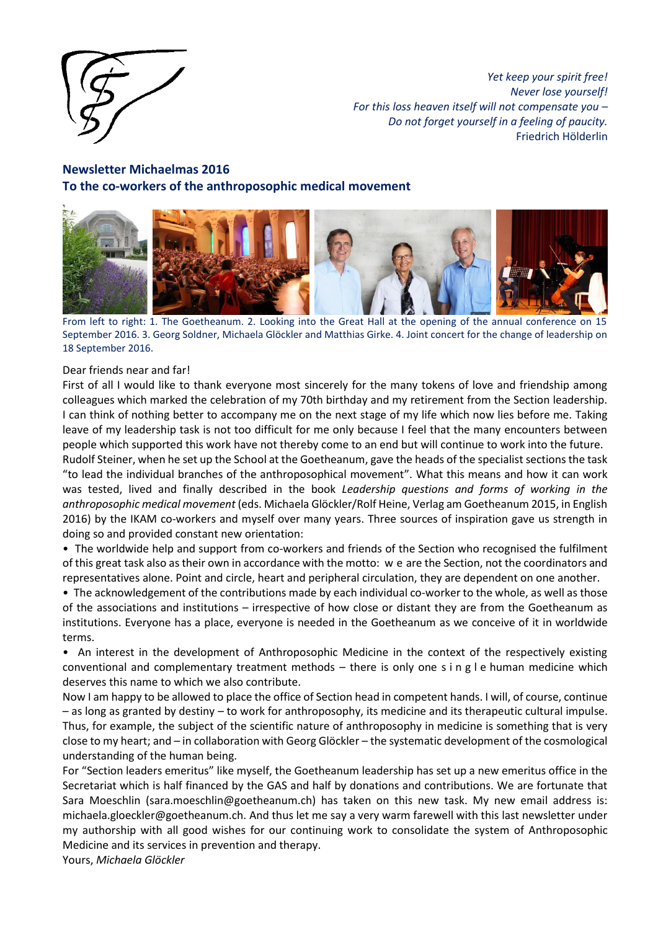

*Yet keep your spirit free! Never lose yourself! For this loss heaven itself will not compensate you – Do not forget yourself in a feeling of paucity.* Friedrich Hölderlin

# **Newsletter Michaelmas 2016 To the co-workers of the anthroposophic medical movement**



From left to right: 1. The Goetheanum. 2. Looking into the Great Hall at the opening of the annual conference on 15 September 2016. 3. Georg Soldner, Michaela Glöckler and Matthias Girke. 4. Joint concert for the change of leadership on 18 September 2016.

#### Dear friends near and far!

First of all I would like to thank everyone most sincerely for the many tokens of love and friendship among colleagues which marked the celebration of my 70th birthday and my retirement from the Section leadership. I can think of nothing better to accompany me on the next stage of my life which now lies before me. Taking leave of my leadership task is not too difficult for me only because I feel that the many encounters between people which supported this work have not thereby come to an end but will continue to work into the future.

Rudolf Steiner, when he set up the School at the Goetheanum, gave the heads of the specialist sections the task "to lead the individual branches of the anthroposophical movement". What this means and how it can work was tested, lived and finally described in the book *Leadership questions and forms of working in the anthroposophic medical movement* (eds. Michaela Glöckler/Rolf Heine, Verlag am Goetheanum 2015, in English 2016) by the IKAM co-workers and myself over many years. Three sources of inspiration gave us strength in doing so and provided constant new orientation:

• The worldwide help and support from co-workers and friends of the Section who recognised the fulfilment of this great task also as their own in accordance with the motto: w e are the Section, not the coordinators and representatives alone. Point and circle, heart and peripheral circulation, they are dependent on one another.

• The acknowledgement of the contributions made by each individual co-worker to the whole, as well as those of the associations and institutions – irrespective of how close or distant they are from the Goetheanum as institutions. Everyone has a place, everyone is needed in the Goetheanum as we conceive of it in worldwide terms.

• An interest in the development of Anthroposophic Medicine in the context of the respectively existing conventional and complementary treatment methods – there is only one s i n g l e human medicine which deserves this name to which we also contribute.

Now I am happy to be allowed to place the office of Section head in competent hands. I will, of course, continue – as long as granted by destiny – to work for anthroposophy, its medicine and its therapeutic cultural impulse. Thus, for example, the subject of the scientific nature of anthroposophy in medicine is something that is very close to my heart; and – in collaboration with Georg Glöckler – the systematic development of the cosmological understanding of the human being.

For "Section leaders emeritus" like myself, the Goetheanum leadership has set up a new emeritus office in the Secretariat which is half financed by the GAS and half by donations and contributions. We are fortunate that Sara Moeschlin (sara.moeschlin@goetheanum.ch) has taken on this new task. My new email address is: michaela.gloeckler@goetheanum.ch. And thus let me say a very warm farewell with this last newsletter under my authorship with all good wishes for our continuing work to consolidate the system of Anthroposophic Medicine and its services in prevention and therapy.

Yours, *Michaela Glöckler*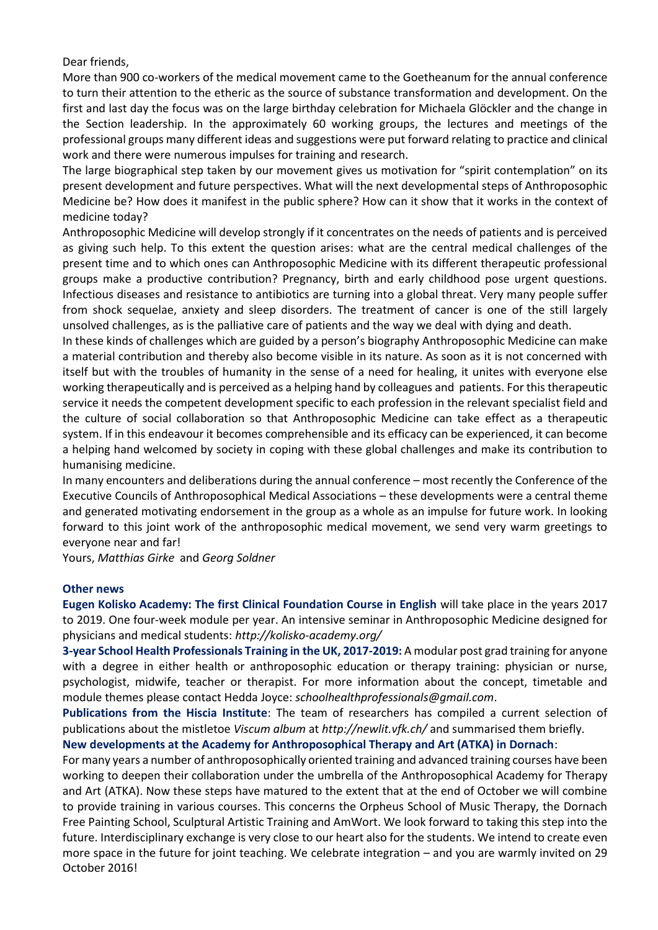Dear friends,

More than 900 co-workers of the medical movement came to the Goetheanum for the annual conference to turn their attention to the etheric as the source of substance transformation and development. On the first and last day the focus was on the large birthday celebration for Michaela Glöckler and the change in the Section leadership. In the approximately 60 working groups, the lectures and meetings of the professional groups many different ideas and suggestions were put forward relating to practice and clinical work and there were numerous impulses for training and research.

The large biographical step taken by our movement gives us motivation for "spirit contemplation" on its present development and future perspectives. What will the next developmental steps of Anthroposophic Medicine be? How does it manifest in the public sphere? How can it show that it works in the context of medicine today?

Anthroposophic Medicine will develop strongly if it concentrates on the needs of patients and is perceived as giving such help. To this extent the question arises: what are the central medical challenges of the present time and to which ones can Anthroposophic Medicine with its different therapeutic professional groups make a productive contribution? Pregnancy, birth and early childhood pose urgent questions. Infectious diseases and resistance to antibiotics are turning into a global threat. Very many people suffer from shock sequelae, anxiety and sleep disorders. The treatment of cancer is one of the still largely unsolved challenges, as is the palliative care of patients and the way we deal with dying and death.

In these kinds of challenges which are guided by a person's biography Anthroposophic Medicine can make a material contribution and thereby also become visible in its nature. As soon as it is not concerned with itself but with the troubles of humanity in the sense of a need for healing, it unites with everyone else working therapeutically and is perceived as a helping hand by colleagues and patients. For this therapeutic service it needs the competent development specific to each profession in the relevant specialist field and the culture of social collaboration so that Anthroposophic Medicine can take effect as a therapeutic system. If in this endeavour it becomes comprehensible and its efficacy can be experienced, it can become a helping hand welcomed by society in coping with these global challenges and make its contribution to humanising medicine.

In many encounters and deliberations during the annual conference – most recently the Conference of the Executive Councils of Anthroposophical Medical Associations – these developments were a central theme and generated motivating endorsement in the group as a whole as an impulse for future work. In looking forward to this joint work of the anthroposophic medical movement, we send very warm greetings to everyone near and far!

Yours, *Matthias Girke* and *Georg Soldner*

#### **Other news**

**Eugen Kolisko Academy: The first Clinical Foundation Course in English** will take place in the years 2017 to 2019. One four-week module per year. An intensive seminar in Anthroposophic Medicine designed for physicians and medical students: *http://kolisko-academy.org/* 

**3-year School Health Professionals Training in the UK, 2017-2019:** A modular post grad training for anyone with a degree in either health or anthroposophic education or therapy training: physician or nurse, psychologist, midwife, teacher or therapist. For more information about the concept, timetable and module themes please contact Hedda Joyce: *schoolhealthprofessionals@gmail.com*.

**Publications from the Hiscia Institute**: The team of researchers has compiled a current selection of publications about the mistletoe *Viscum album* at *http://newlit.vfk.ch/* and summarised them briefly.

**New developments at the Academy for Anthroposophical Therapy and Art (ATKA) in Dornach**:

For many years a number of anthroposophically oriented training and advanced training courses have been working to deepen their collaboration under the umbrella of the Anthroposophical Academy for Therapy and Art (ATKA). Now these steps have matured to the extent that at the end of October we will combine to provide training in various courses. This concerns the Orpheus School of Music Therapy, the Dornach Free Painting School, Sculptural Artistic Training and AmWort. We look forward to taking this step into the future. Interdisciplinary exchange is very close to our heart also for the students. We intend to create even more space in the future for joint teaching. We celebrate integration – and you are warmly invited on 29 October 2016!